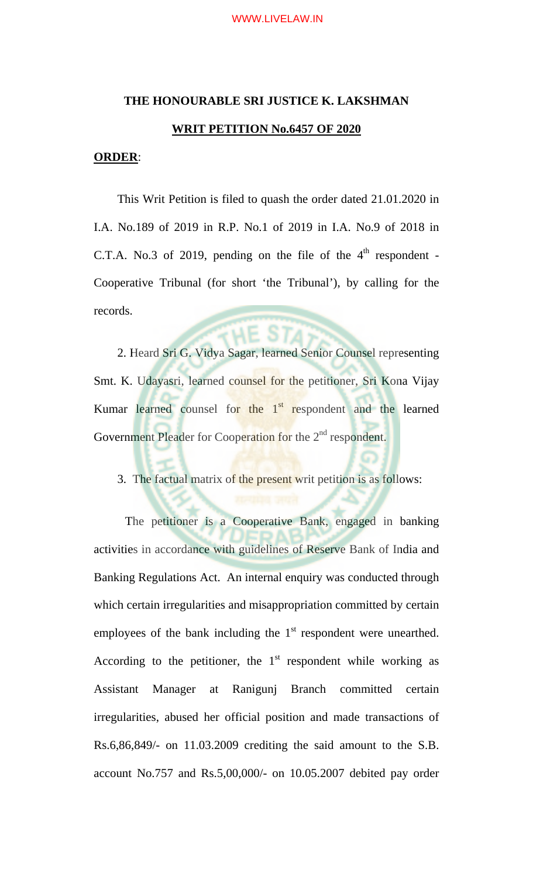# **THE HONOURABLE SRI JUSTICE K. LAKSHMAN WRIT PETITION No.6457 OF 2020**

### **ORDER**:

This Writ Petition is filed to quash the order dated 21.01.2020 in I.A. No.189 of 2019 in R.P. No.1 of 2019 in I.A. No.9 of 2018 in C.T.A. No.3 of 2019, pending on the file of the  $4<sup>th</sup>$  respondent -Cooperative Tribunal (for short 'the Tribunal'), by calling for the records.

2. Heard Sri G. Vidya Sagar, learned Senior Counsel representing Smt. K. Udayasri, learned counsel for the petitioner, Sri Kona Vijay Kumar learned counsel for the  $1<sup>st</sup>$  respondent and the learned Government Pleader for Cooperation for the 2<sup>nd</sup> respondent.

3. The factual matrix of the present writ petition is as follows:

 The petitioner is a Cooperative Bank, engaged in banking activities in accordance with guidelines of Reserve Bank of India and Banking Regulations Act. An internal enquiry was conducted through which certain irregularities and misappropriation committed by certain employees of the bank including the  $1<sup>st</sup>$  respondent were unearthed. According to the petitioner, the  $1<sup>st</sup>$  respondent while working as Assistant Manager at Ranigunj Branch committed certain irregularities, abused her official position and made transactions of Rs.6,86,849/- on 11.03.2009 crediting the said amount to the S.B. account No.757 and Rs.5,00,000/- on 10.05.2007 debited pay order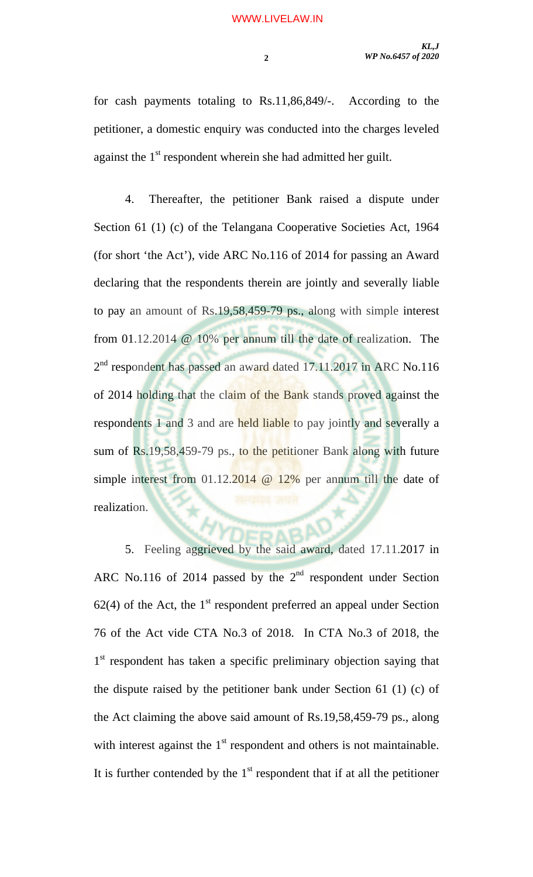for cash payments totaling to Rs.11,86,849/-. According to the petitioner, a domestic enquiry was conducted into the charges leveled against the  $1<sup>st</sup>$  respondent wherein she had admitted her guilt.

4. Thereafter, the petitioner Bank raised a dispute under Section 61 (1) (c) of the Telangana Cooperative Societies Act, 1964 (for short 'the Act'), vide ARC No.116 of 2014 for passing an Award declaring that the respondents therein are jointly and severally liable to pay an amount of Rs.19,58,459-79 ps., along with simple interest from 01.12.2014 @ 10% per annum till the date of realization. The 2<sup>nd</sup> respondent has passed an award dated 17.11.2017 in ARC No.116 of 2014 holding that the claim of the Bank stands proved against the respondents 1 and 3 and are held liable to pay jointly and severally a sum of Rs.19,58,459-79 ps., to the petitioner Bank along with future simple interest from 01.12.2014 @ 12% per annum till the date of realization.

5. Feeling aggrieved by the said award, dated 17.11.2017 in ARC No.116 of 2014 passed by the  $2<sup>nd</sup>$  respondent under Section  $62(4)$  of the Act, the 1<sup>st</sup> respondent preferred an appeal under Section 76 of the Act vide CTA No.3 of 2018. In CTA No.3 of 2018, the 1<sup>st</sup> respondent has taken a specific preliminary objection saying that the dispute raised by the petitioner bank under Section 61 (1) (c) of the Act claiming the above said amount of Rs.19,58,459-79 ps., along with interest against the  $1<sup>st</sup>$  respondent and others is not maintainable. It is further contended by the  $1<sup>st</sup>$  respondent that if at all the petitioner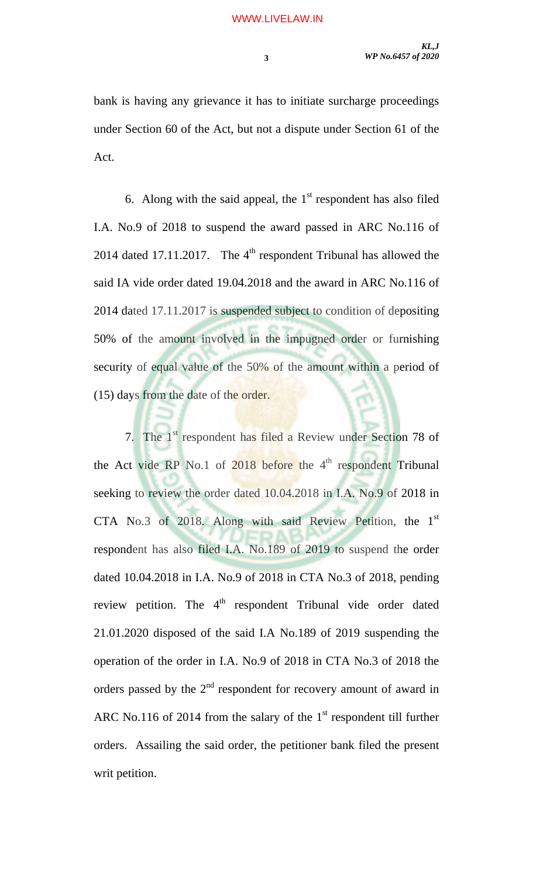bank is having any grievance it has to initiate surcharge proceedings under Section 60 of the Act, but not a dispute under Section 61 of the Act.

6. Along with the said appeal, the  $1<sup>st</sup>$  respondent has also filed I.A. No.9 of 2018 to suspend the award passed in ARC No.116 of 2014 dated 17.11.2017. The  $4<sup>th</sup>$  respondent Tribunal has allowed the said IA vide order dated 19.04.2018 and the award in ARC No.116 of 2014 dated 17.11.2017 is suspended subject to condition of depositing 50% of the amount involved in the impugned order or furnishing security of equal value of the 50% of the amount within a period of (15) days from the date of the order.

7. The 1<sup>st</sup> respondent has filed a Review under Section 78 of the Act vide RP No.1 of  $2018$  before the  $4<sup>th</sup>$  respondent Tribunal seeking to review the order dated 10.04.2018 in I.A. No.9 of 2018 in CTA No.3 of 2018. Along with said Review Petition, the  $1<sup>st</sup>$ respondent has also filed I.A. No.189 of 2019 to suspend the order dated 10.04.2018 in I.A. No.9 of 2018 in CTA No.3 of 2018, pending review petition. The 4<sup>th</sup> respondent Tribunal vide order dated 21.01.2020 disposed of the said I.A No.189 of 2019 suspending the operation of the order in I.A. No.9 of 2018 in CTA No.3 of 2018 the orders passed by the  $2<sup>nd</sup>$  respondent for recovery amount of award in ARC No.116 of 2014 from the salary of the  $1<sup>st</sup>$  respondent till further orders. Assailing the said order, the petitioner bank filed the present writ petition.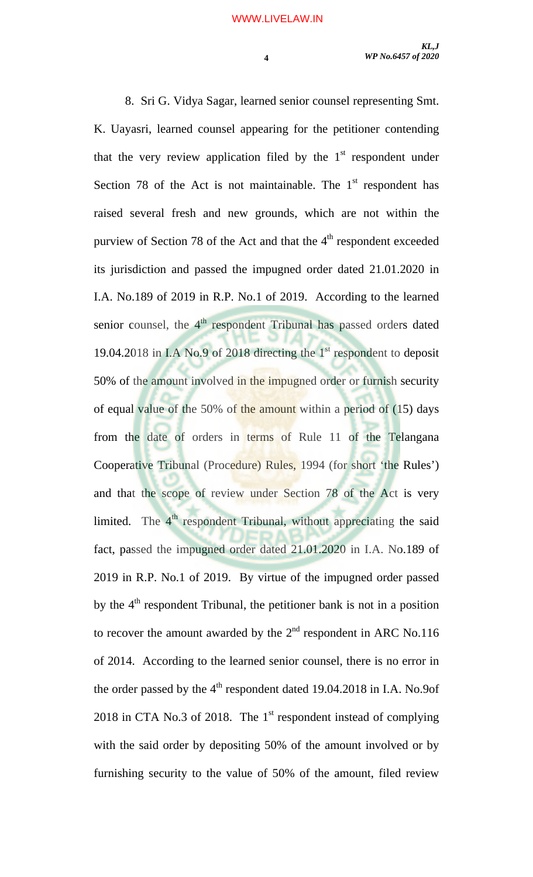8. Sri G. Vidya Sagar, learned senior counsel representing Smt. K. Uayasri, learned counsel appearing for the petitioner contending that the very review application filed by the  $1<sup>st</sup>$  respondent under Section 78 of the Act is not maintainable. The  $1<sup>st</sup>$  respondent has raised several fresh and new grounds, which are not within the purview of Section 78 of the Act and that the  $4<sup>th</sup>$  respondent exceeded its jurisdiction and passed the impugned order dated 21.01.2020 in I.A. No.189 of 2019 in R.P. No.1 of 2019. According to the learned senior counsel, the 4<sup>th</sup> respondent Tribunal has passed orders dated 19.04.2018 in I.A No.9 of 2018 directing the  $1<sup>st</sup>$  respondent to deposit 50% of the amount involved in the impugned order or furnish security of equal value of the 50% of the amount within a period of (15) days from the date of orders in terms of Rule 11 of the Telangana Cooperative Tribunal (Procedure) Rules, 1994 (for short 'the Rules') and that the scope of review under Section 78 of the Act is very limited. The  $4<sup>th</sup>$  respondent Tribunal, without appreciating the said fact, passed the impugned order dated 21.01.2020 in I.A. No.189 of 2019 in R.P. No.1 of 2019. By virtue of the impugned order passed by the  $4<sup>th</sup>$  respondent Tribunal, the petitioner bank is not in a position to recover the amount awarded by the  $2<sup>nd</sup>$  respondent in ARC No.116 of 2014. According to the learned senior counsel, there is no error in the order passed by the  $4<sup>th</sup>$  respondent dated 19.04.2018 in I.A. No.9of 2018 in CTA No.3 of 2018. The  $1<sup>st</sup>$  respondent instead of complying with the said order by depositing 50% of the amount involved or by furnishing security to the value of 50% of the amount, filed review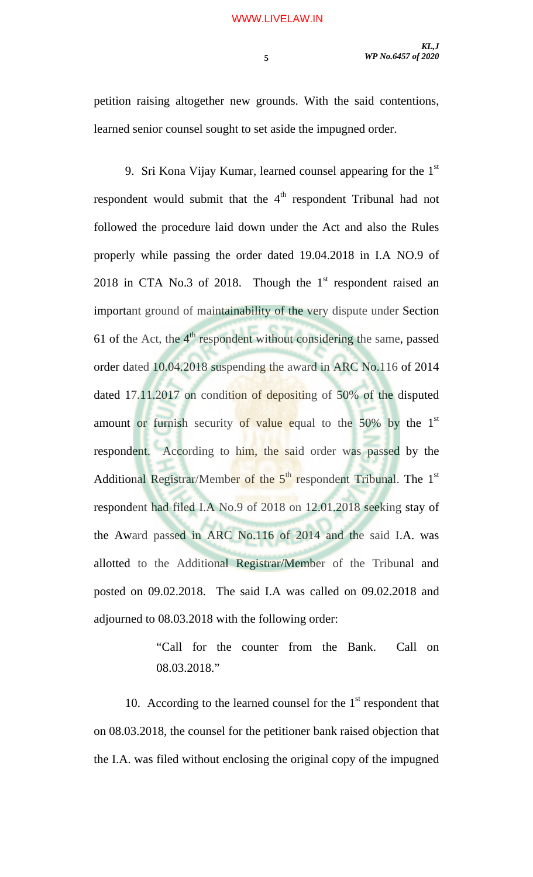petition raising altogether new grounds. With the said contentions, learned senior counsel sought to set aside the impugned order.

9. Sri Kona Vijay Kumar, learned counsel appearing for the  $1<sup>st</sup>$ respondent would submit that the 4<sup>th</sup> respondent Tribunal had not followed the procedure laid down under the Act and also the Rules properly while passing the order dated 19.04.2018 in I.A NO.9 of 2018 in CTA No.3 of 2018. Though the  $1<sup>st</sup>$  respondent raised an important ground of maintainability of the very dispute under Section 61 of the Act, the  $4<sup>th</sup>$  respondent without considering the same, passed order dated 10.04.2018 suspending the award in ARC No.116 of 2014 dated 17.11.2017 on condition of depositing of 50% of the disputed amount or furnish security of value equal to the  $50\%$  by the  $1<sup>st</sup>$ respondent. According to him, the said order was passed by the Additional Registrar/Member of the  $5<sup>th</sup>$  respondent Tribunal. The  $1<sup>st</sup>$ respondent had filed I.A No.9 of 2018 on 12.01.2018 seeking stay of the Award passed in ARC No.116 of 2014 and the said I.A. was allotted to the Additional Registrar/Member of the Tribunal and posted on 09.02.2018. The said I.A was called on 09.02.2018 and adjourned to 08.03.2018 with the following order:

> "Call for the counter from the Bank. Call on 08.03.2018."

10. According to the learned counsel for the  $1<sup>st</sup>$  respondent that on 08.03.2018, the counsel for the petitioner bank raised objection that the I.A. was filed without enclosing the original copy of the impugned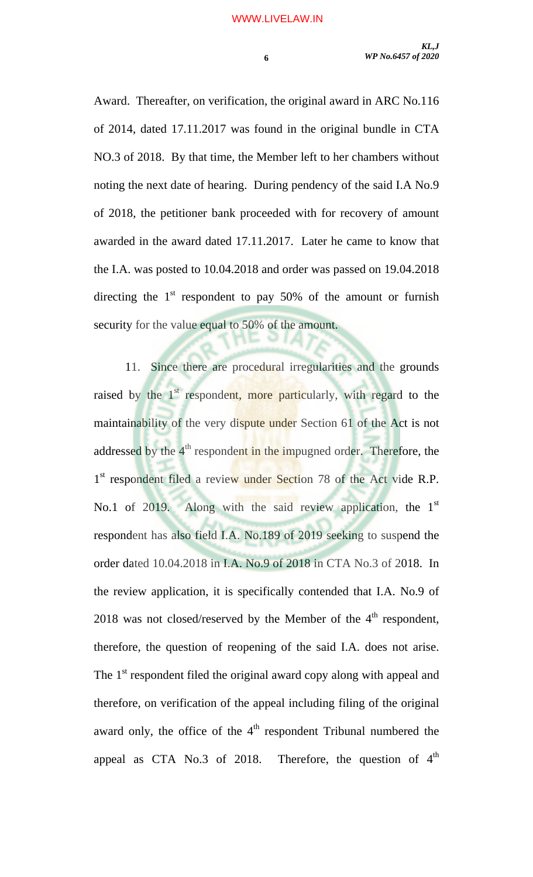Award. Thereafter, on verification, the original award in ARC No.116 of 2014, dated 17.11.2017 was found in the original bundle in CTA NO.3 of 2018. By that time, the Member left to her chambers without noting the next date of hearing. During pendency of the said I.A No.9 of 2018, the petitioner bank proceeded with for recovery of amount awarded in the award dated 17.11.2017. Later he came to know that the I.A. was posted to 10.04.2018 and order was passed on 19.04.2018 directing the  $1<sup>st</sup>$  respondent to pay 50% of the amount or furnish security for the value equal to 50% of the amount.

11. Since there are procedural irregularities and the grounds raised by the 1<sup>st</sup> respondent, more particularly, with regard to the maintainability of the very dispute under Section 61 of the Act is not addressed by the 4<sup>th</sup> respondent in the impugned order. Therefore, the 1<sup>st</sup> respondent filed a review under Section 78 of the Act vide R.P. No.1 of 2019. Along with the said review application, the 1<sup>st</sup> respondent has also field I.A. No.189 of 2019 seeking to suspend the order dated 10.04.2018 in I.A. No.9 of 2018 in CTA No.3 of 2018. In the review application, it is specifically contended that I.A. No.9 of 2018 was not closed/reserved by the Member of the  $4<sup>th</sup>$  respondent, therefore, the question of reopening of the said I.A. does not arise. The 1<sup>st</sup> respondent filed the original award copy along with appeal and therefore, on verification of the appeal including filing of the original award only, the office of the  $4<sup>th</sup>$  respondent Tribunal numbered the appeal as CTA No.3 of 2018. Therefore, the question of  $4<sup>th</sup>$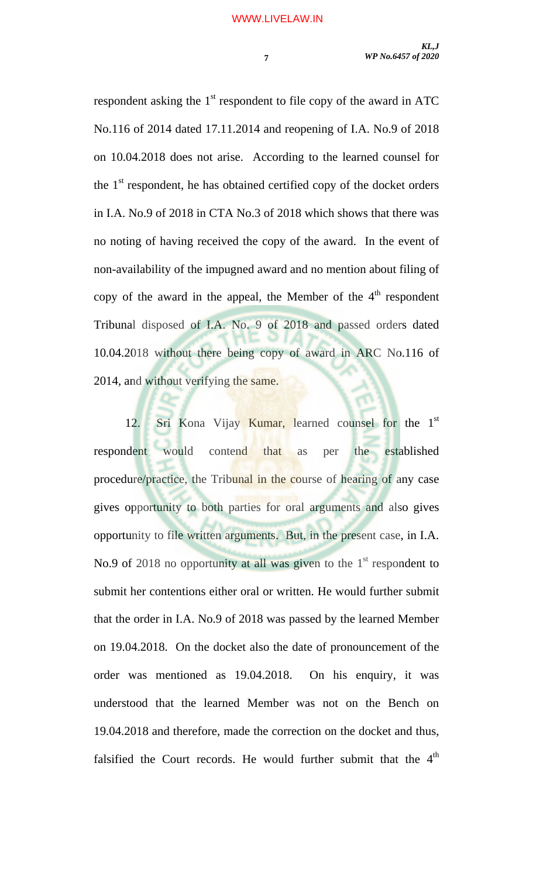respondent asking the  $1<sup>st</sup>$  respondent to file copy of the award in ATC No.116 of 2014 dated 17.11.2014 and reopening of I.A. No.9 of 2018 on 10.04.2018 does not arise. According to the learned counsel for the  $1<sup>st</sup>$  respondent, he has obtained certified copy of the docket orders in I.A. No.9 of 2018 in CTA No.3 of 2018 which shows that there was no noting of having received the copy of the award. In the event of non-availability of the impugned award and no mention about filing of copy of the award in the appeal, the Member of the  $4<sup>th</sup>$  respondent Tribunal disposed of I.A. No. 9 of 2018 and passed orders dated 10.04.2018 without there being copy of award in ARC No.116 of 2014, and without verifying the same.

12. Sri Kona Vijay Kumar, learned counsel for the 1<sup>st</sup> respondent would contend that as per the established procedure/practice, the Tribunal in the course of hearing of any case gives opportunity to both parties for oral arguments and also gives opportunity to file written arguments. But, in the present case, in I.A. No.9 of 2018 no opportunity at all was given to the  $1<sup>st</sup>$  respondent to submit her contentions either oral or written. He would further submit that the order in I.A. No.9 of 2018 was passed by the learned Member on 19.04.2018. On the docket also the date of pronouncement of the order was mentioned as 19.04.2018. On his enquiry, it was understood that the learned Member was not on the Bench on 19.04.2018 and therefore, made the correction on the docket and thus, falsified the Court records. He would further submit that the  $4<sup>th</sup>$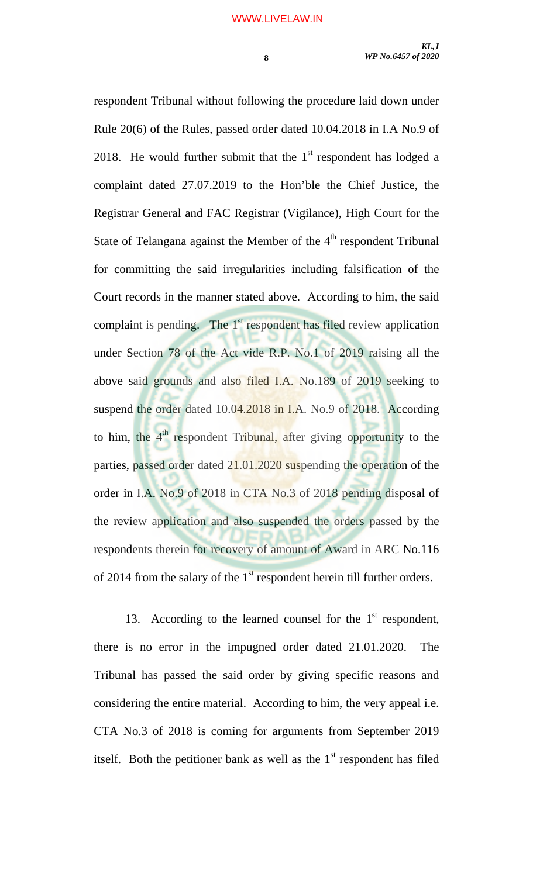respondent Tribunal without following the procedure laid down under Rule 20(6) of the Rules, passed order dated 10.04.2018 in I.A No.9 of 2018. He would further submit that the  $1<sup>st</sup>$  respondent has lodged a complaint dated 27.07.2019 to the Hon'ble the Chief Justice, the Registrar General and FAC Registrar (Vigilance), High Court for the State of Telangana against the Member of the  $4<sup>th</sup>$  respondent Tribunal for committing the said irregularities including falsification of the Court records in the manner stated above. According to him, the said complaint is pending. The  $1<sup>st</sup>$  respondent has filed review application under Section 78 of the Act vide R.P. No.1 of 2019 raising all the above said grounds and also filed I.A. No.189 of 2019 seeking to suspend the order dated 10.04.2018 in I.A. No.9 of 2018. According to him, the  $4<sup>th</sup>$  respondent Tribunal, after giving opportunity to the

parties, passed order dated 21.01.2020 suspending the operation of the order in I.A. No.9 of 2018 in CTA No.3 of 2018 pending disposal of the review application and also suspended the orders passed by the respondents therein for recovery of amount of Award in ARC No.116 of 2014 from the salary of the  $1<sup>st</sup>$  respondent herein till further orders.

13. According to the learned counsel for the  $1<sup>st</sup>$  respondent, there is no error in the impugned order dated 21.01.2020. The Tribunal has passed the said order by giving specific reasons and considering the entire material. According to him, the very appeal i.e. CTA No.3 of 2018 is coming for arguments from September 2019 itself. Both the petitioner bank as well as the  $1<sup>st</sup>$  respondent has filed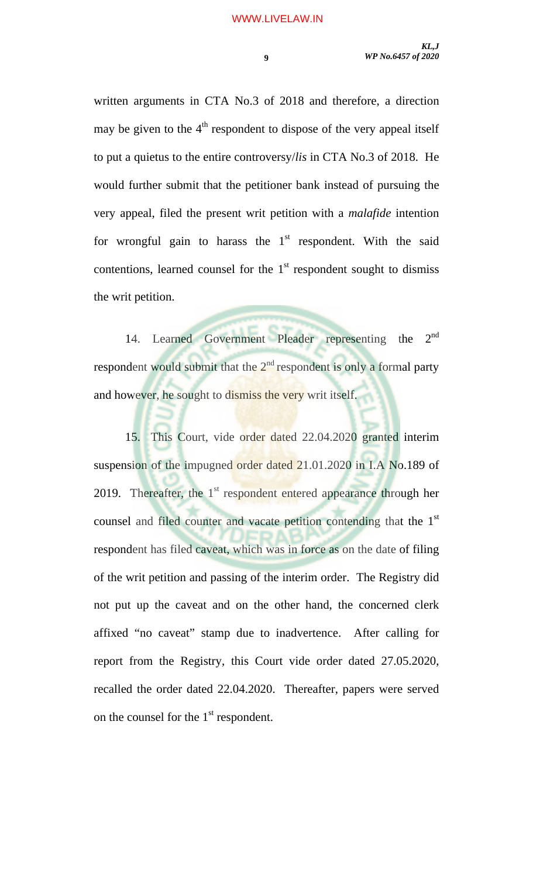written arguments in CTA No.3 of 2018 and therefore, a direction may be given to the  $4<sup>th</sup>$  respondent to dispose of the very appeal itself to put a quietus to the entire controversy/*lis* in CTA No.3 of 2018. He would further submit that the petitioner bank instead of pursuing the very appeal, filed the present writ petition with a *malafide* intention for wrongful gain to harass the  $1<sup>st</sup>$  respondent. With the said contentions, learned counsel for the  $1<sup>st</sup>$  respondent sought to dismiss the writ petition.

14. Learned Government Pleader representing the 2<sup>nd</sup> respondent would submit that the  $2<sup>nd</sup>$  respondent is only a formal party and however, he sought to dismiss the very writ itself.

 15. This Court, vide order dated 22.04.2020 granted interim suspension of the impugned order dated 21.01.2020 in I.A No.189 of 2019. Thereafter, the  $1<sup>st</sup>$  respondent entered appearance through her counsel and filed counter and vacate petition contending that the 1<sup>st</sup> respondent has filed caveat, which was in force as on the date of filing of the writ petition and passing of the interim order. The Registry did not put up the caveat and on the other hand, the concerned clerk affixed "no caveat" stamp due to inadvertence. After calling for report from the Registry, this Court vide order dated 27.05.2020, recalled the order dated 22.04.2020. Thereafter, papers were served on the counsel for the  $1<sup>st</sup>$  respondent.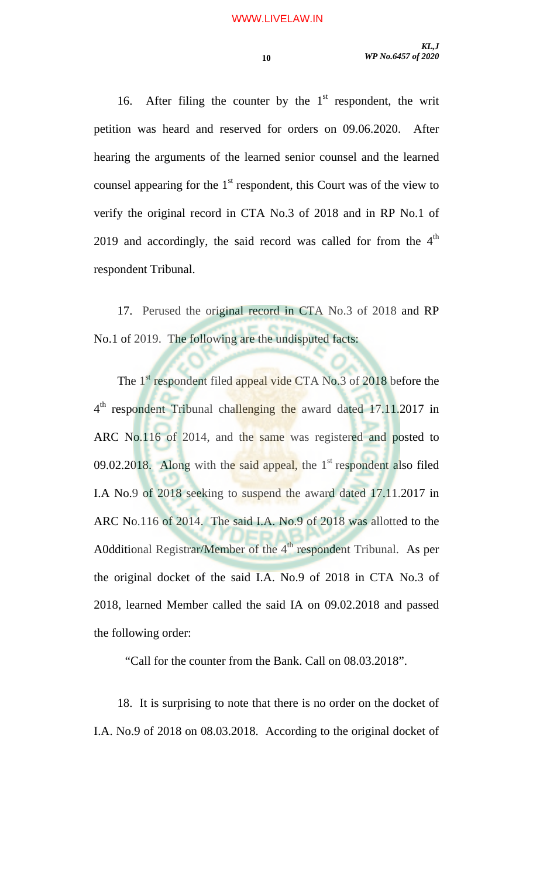16. After filing the counter by the  $1<sup>st</sup>$  respondent, the writ petition was heard and reserved for orders on 09.06.2020. After hearing the arguments of the learned senior counsel and the learned counsel appearing for the  $1<sup>st</sup>$  respondent, this Court was of the view to verify the original record in CTA No.3 of 2018 and in RP No.1 of 2019 and accordingly, the said record was called for from the  $4<sup>th</sup>$ respondent Tribunal.

17. Perused the original record in CTA No.3 of 2018 and RP No.1 of 2019. The following are the undisputed facts:

The 1<sup>st</sup> respondent filed appeal vide CTA No.3 of 2018 before the 4<sup>th</sup> respondent Tribunal challenging the award dated 17.11.2017 in ARC No.116 of 2014, and the same was registered and posted to 09.02.2018. Along with the said appeal, the  $1<sup>st</sup>$  respondent also filed I.A No.9 of 2018 seeking to suspend the award dated 17.11.2017 in ARC No.116 of 2014. The said I.A. No.9 of 2018 was allotted to the A0dditional Registrar/Member of the  $4<sup>th</sup>$  respondent Tribunal. As per the original docket of the said I.A. No.9 of 2018 in CTA No.3 of 2018, learned Member called the said IA on 09.02.2018 and passed the following order:

"Call for the counter from the Bank. Call on 08.03.2018".

18. It is surprising to note that there is no order on the docket of I.A. No.9 of 2018 on 08.03.2018. According to the original docket of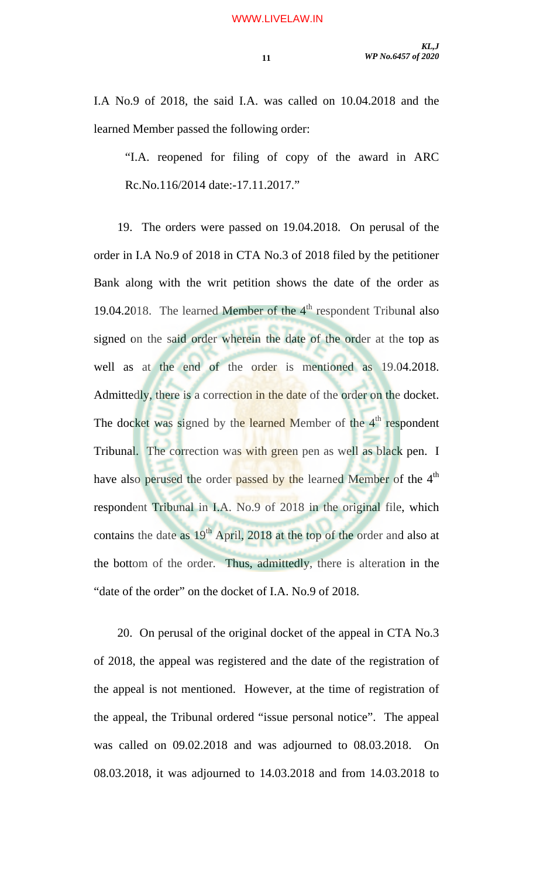I.A No.9 of 2018, the said I.A. was called on 10.04.2018 and the learned Member passed the following order:

"I.A. reopened for filing of copy of the award in ARC Rc.No.116/2014 date:-17.11.2017."

19. The orders were passed on 19.04.2018. On perusal of the order in I.A No.9 of 2018 in CTA No.3 of 2018 filed by the petitioner Bank along with the writ petition shows the date of the order as 19.04.2018. The learned Member of the  $4<sup>th</sup>$  respondent Tribunal also signed on the said order wherein the date of the order at the top as well as at the end of the order is mentioned as 19.04.2018. Admittedly, there is a correction in the date of the order on the docket. The docket was signed by the learned Member of the  $4<sup>th</sup>$  respondent Tribunal. The correction was with green pen as well as black pen. I have also perused the order passed by the learned Member of the 4<sup>th</sup> respondent Tribunal in I.A. No.9 of 2018 in the original file, which contains the date as  $19<sup>th</sup>$  April, 2018 at the top of the order and also at the bottom of the order. Thus, admittedly, there is alteration in the "date of the order" on the docket of I.A. No.9 of 2018.

20. On perusal of the original docket of the appeal in CTA No.3 of 2018, the appeal was registered and the date of the registration of the appeal is not mentioned. However, at the time of registration of the appeal, the Tribunal ordered "issue personal notice". The appeal was called on 09.02.2018 and was adjourned to 08.03.2018. On 08.03.2018, it was adjourned to 14.03.2018 and from 14.03.2018 to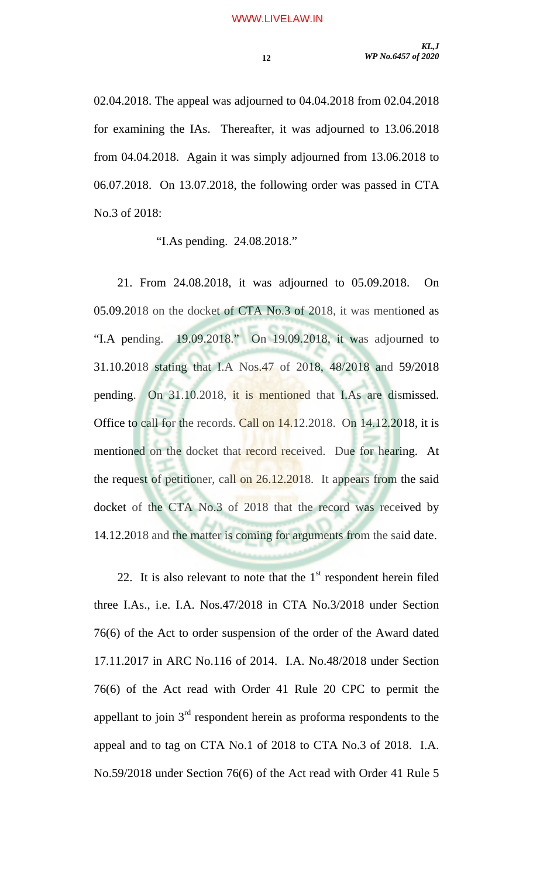02.04.2018. The appeal was adjourned to 04.04.2018 from 02.04.2018 for examining the IAs. Thereafter, it was adjourned to 13.06.2018 from 04.04.2018. Again it was simply adjourned from 13.06.2018 to 06.07.2018. On 13.07.2018, the following order was passed in CTA No.3 of 2018:

"I.As pending. 24.08.2018."

21. From 24.08.2018, it was adjourned to 05.09.2018. On 05.09.2018 on the docket of CTA No.3 of 2018, it was mentioned as "I.A pending. 19.09.2018." On 19.09.2018, it was adjourned to 31.10.2018 stating that I.A Nos.47 of 2018, 48/2018 and 59/2018 pending. On 31.10.2018, it is mentioned that I.As are dismissed. Office to call for the records. Call on 14.12.2018. On 14.12.2018, it is mentioned on the docket that record received. Due for hearing. At the request of petitioner, call on 26.12.2018. It appears from the said docket of the CTA No.3 of 2018 that the record was received by 14.12.2018 and the matter is coming for arguments from the said date.

22. It is also relevant to note that the  $1<sup>st</sup>$  respondent herein filed three I.As., i.e. I.A. Nos.47/2018 in CTA No.3/2018 under Section 76(6) of the Act to order suspension of the order of the Award dated 17.11.2017 in ARC No.116 of 2014. I.A. No.48/2018 under Section 76(6) of the Act read with Order 41 Rule 20 CPC to permit the appellant to join  $3<sup>rd</sup>$  respondent herein as proforma respondents to the appeal and to tag on CTA No.1 of 2018 to CTA No.3 of 2018. I.A. No.59/2018 under Section 76(6) of the Act read with Order 41 Rule 5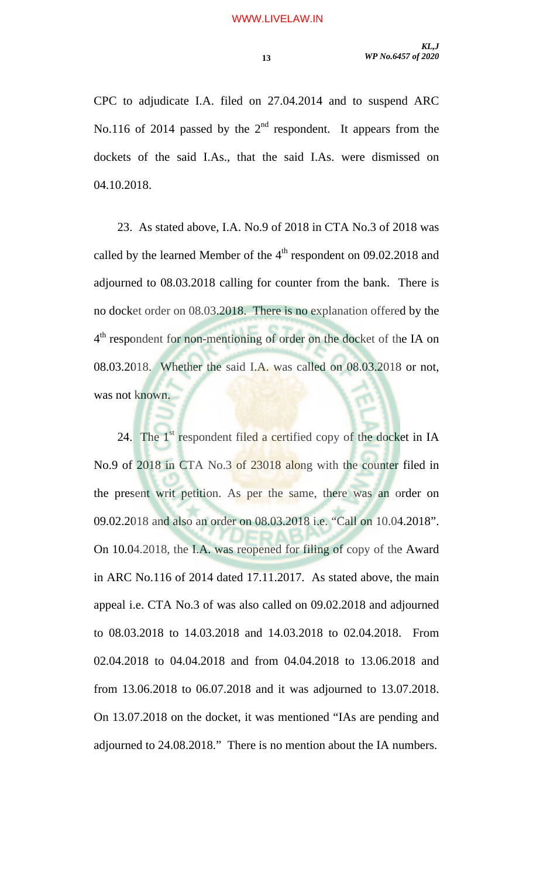CPC to adjudicate I.A. filed on 27.04.2014 and to suspend ARC No.116 of 2014 passed by the  $2<sup>nd</sup>$  respondent. It appears from the dockets of the said I.As., that the said I.As. were dismissed on 04.10.2018.

23. As stated above, I.A. No.9 of 2018 in CTA No.3 of 2018 was called by the learned Member of the  $4<sup>th</sup>$  respondent on 09.02.2018 and adjourned to 08.03.2018 calling for counter from the bank. There is no docket order on 08.03.2018. There is no explanation offered by the 4<sup>th</sup> respondent for non-mentioning of order on the docket of the IA on 08.03.2018. Whether the said I.A. was called on 08.03.2018 or not, was not known.

24. The  $1<sup>st</sup>$  respondent filed a certified copy of the docket in IA No.9 of 2018 in CTA No.3 of 23018 along with the counter filed in the present writ petition. As per the same, there was an order on 09.02.2018 and also an order on 08.03.2018 i.e. "Call on 10.04.2018". On 10.04.2018, the I.A. was reopened for filing of copy of the Award in ARC No.116 of 2014 dated 17.11.2017. As stated above, the main appeal i.e. CTA No.3 of was also called on 09.02.2018 and adjourned to 08.03.2018 to 14.03.2018 and 14.03.2018 to 02.04.2018. From 02.04.2018 to 04.04.2018 and from 04.04.2018 to 13.06.2018 and from 13.06.2018 to 06.07.2018 and it was adjourned to 13.07.2018. On 13.07.2018 on the docket, it was mentioned "IAs are pending and adjourned to 24.08.2018." There is no mention about the IA numbers.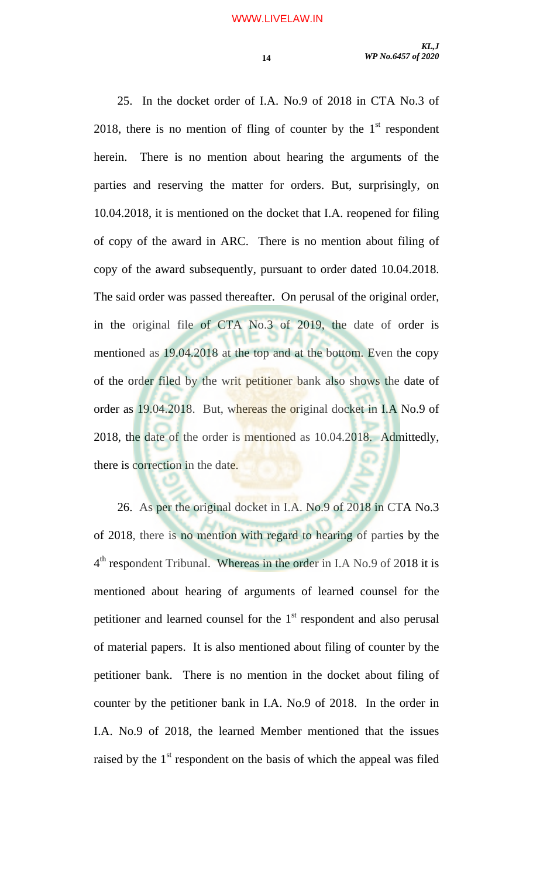25. In the docket order of I.A. No.9 of 2018 in CTA No.3 of 2018, there is no mention of fling of counter by the  $1<sup>st</sup>$  respondent herein. There is no mention about hearing the arguments of the parties and reserving the matter for orders. But, surprisingly, on 10.04.2018, it is mentioned on the docket that I.A. reopened for filing of copy of the award in ARC. There is no mention about filing of copy of the award subsequently, pursuant to order dated 10.04.2018. The said order was passed thereafter. On perusal of the original order, in the original file of CTA No.3 of 2019, the date of order is mentioned as 19.04.2018 at the top and at the bottom. Even the copy of the order filed by the writ petitioner bank also shows the date of order as 19.04.2018. But, whereas the original docket in I.A No.9 of 2018, the date of the order is mentioned as 10.04.2018. Admittedly, there is correction in the date.

26. As per the original docket in I.A. No.9 of 2018 in CTA No.3 of 2018, there is no mention with regard to hearing of parties by the 4th respondent Tribunal. Whereas in the order in I.A No.9 of 2018 it is mentioned about hearing of arguments of learned counsel for the petitioner and learned counsel for the  $1<sup>st</sup>$  respondent and also perusal of material papers. It is also mentioned about filing of counter by the petitioner bank. There is no mention in the docket about filing of counter by the petitioner bank in I.A. No.9 of 2018. In the order in I.A. No.9 of 2018, the learned Member mentioned that the issues raised by the 1<sup>st</sup> respondent on the basis of which the appeal was filed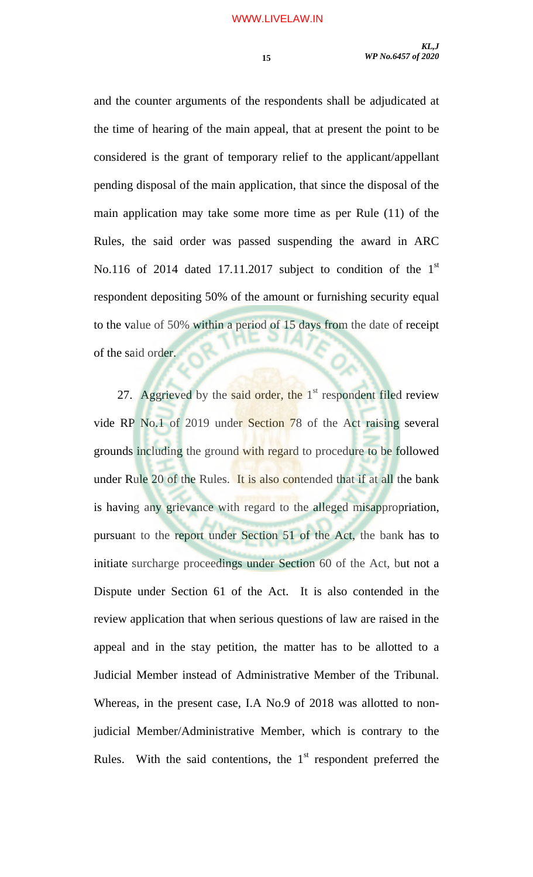and the counter arguments of the respondents shall be adjudicated at the time of hearing of the main appeal, that at present the point to be considered is the grant of temporary relief to the applicant/appellant pending disposal of the main application, that since the disposal of the main application may take some more time as per Rule (11) of the Rules, the said order was passed suspending the award in ARC No.116 of 2014 dated 17.11.2017 subject to condition of the 1st respondent depositing 50% of the amount or furnishing security equal to the value of 50% within a period of 15 days from the date of receipt of the said order.

27. Aggrieved by the said order, the  $1<sup>st</sup>$  respondent filed review vide RP No.1 of 2019 under Section 78 of the Act raising several grounds including the ground with regard to procedure to be followed under Rule 20 of the Rules. It is also contended that if at all the bank is having any grievance with regard to the alleged misappropriation, pursuant to the report under Section 51 of the Act, the bank has to initiate surcharge proceedings under Section 60 of the Act, but not a Dispute under Section 61 of the Act. It is also contended in the review application that when serious questions of law are raised in the appeal and in the stay petition, the matter has to be allotted to a Judicial Member instead of Administrative Member of the Tribunal. Whereas, in the present case, I.A No.9 of 2018 was allotted to nonjudicial Member/Administrative Member, which is contrary to the Rules. With the said contentions, the  $1<sup>st</sup>$  respondent preferred the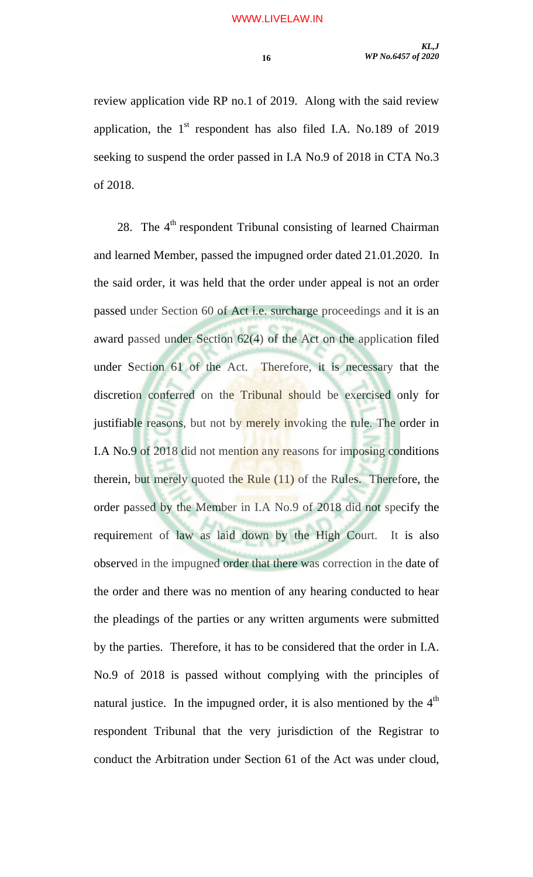review application vide RP no.1 of 2019. Along with the said review application, the  $1<sup>st</sup>$  respondent has also filed I.A. No.189 of 2019 seeking to suspend the order passed in I.A No.9 of 2018 in CTA No.3 of 2018.

28. The 4<sup>th</sup> respondent Tribunal consisting of learned Chairman and learned Member, passed the impugned order dated 21.01.2020. In the said order, it was held that the order under appeal is not an order passed under Section 60 of Act i.e. surcharge proceedings and it is an award passed under Section 62(4) of the Act on the application filed under Section 61 of the Act. Therefore, it is necessary that the discretion conferred on the Tribunal should be exercised only for justifiable reasons, but not by merely invoking the rule. The order in I.A No.9 of 2018 did not mention any reasons for imposing conditions therein, but merely quoted the Rule (11) of the Rules. Therefore, the order passed by the Member in I.A No.9 of 2018 did not specify the requirement of law as laid down by the High Court. It is also observed in the impugned order that there was correction in the date of the order and there was no mention of any hearing conducted to hear the pleadings of the parties or any written arguments were submitted by the parties. Therefore, it has to be considered that the order in I.A. No.9 of 2018 is passed without complying with the principles of natural justice. In the impugned order, it is also mentioned by the  $4<sup>th</sup>$ respondent Tribunal that the very jurisdiction of the Registrar to conduct the Arbitration under Section 61 of the Act was under cloud,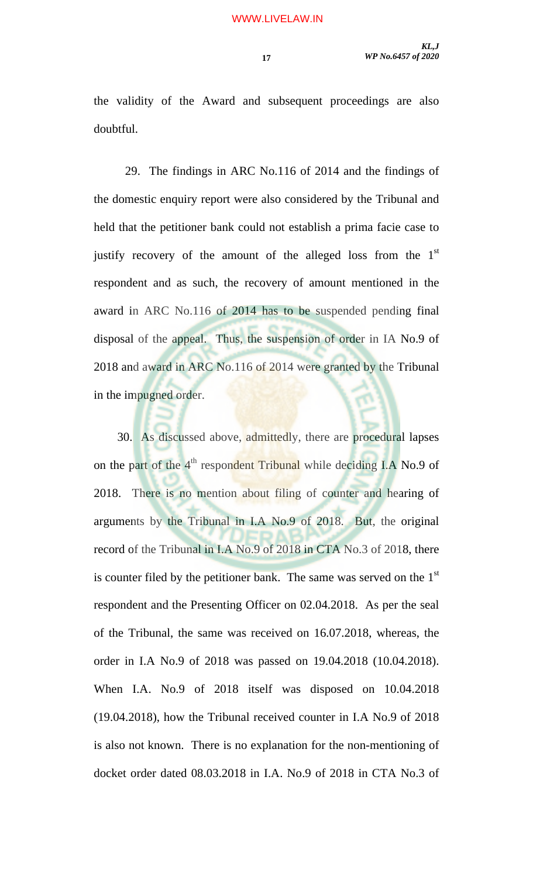the validity of the Award and subsequent proceedings are also doubtful.

 29. The findings in ARC No.116 of 2014 and the findings of the domestic enquiry report were also considered by the Tribunal and held that the petitioner bank could not establish a prima facie case to justify recovery of the amount of the alleged loss from the  $1<sup>st</sup>$ respondent and as such, the recovery of amount mentioned in the award in ARC No.116 of 2014 has to be suspended pending final disposal of the appeal. Thus, the suspension of order in IA No.9 of 2018 and award in ARC No.116 of 2014 were granted by the Tribunal in the impugned order.

30. As discussed above, admittedly, there are procedural lapses on the part of the 4<sup>th</sup> respondent Tribunal while deciding I.A No.9 of 2018. There is no mention about filing of counter and hearing of arguments by the Tribunal in I.A No.9 of 2018. But, the original record of the Tribunal in I.A No.9 of 2018 in CTA No.3 of 2018, there is counter filed by the petitioner bank. The same was served on the  $1<sup>st</sup>$ respondent and the Presenting Officer on 02.04.2018. As per the seal of the Tribunal, the same was received on 16.07.2018, whereas, the order in I.A No.9 of 2018 was passed on 19.04.2018 (10.04.2018). When I.A. No.9 of 2018 itself was disposed on 10.04.2018 (19.04.2018), how the Tribunal received counter in I.A No.9 of 2018 is also not known. There is no explanation for the non-mentioning of docket order dated 08.03.2018 in I.A. No.9 of 2018 in CTA No.3 of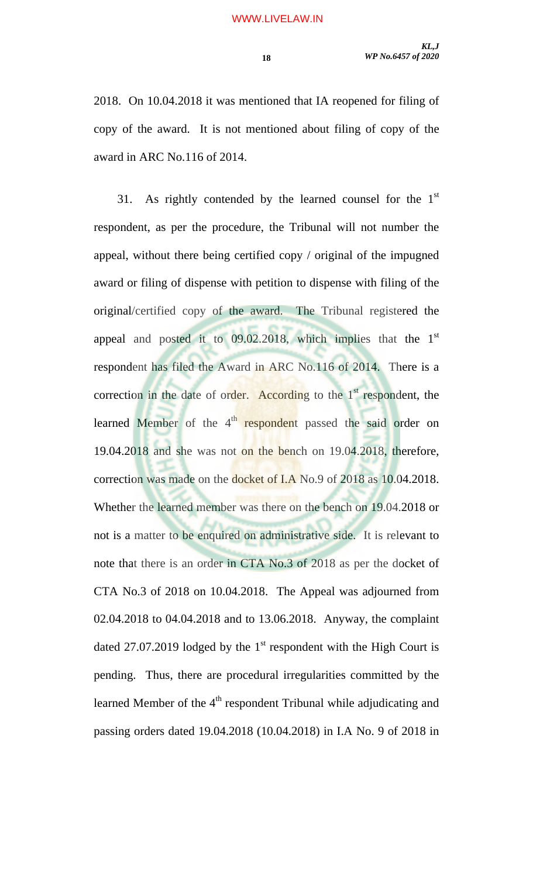2018. On 10.04.2018 it was mentioned that IA reopened for filing of copy of the award. It is not mentioned about filing of copy of the award in ARC No.116 of 2014.

31. As rightly contended by the learned counsel for the  $1<sup>st</sup>$ respondent, as per the procedure, the Tribunal will not number the appeal, without there being certified copy / original of the impugned award or filing of dispense with petition to dispense with filing of the original/certified copy of the award. The Tribunal registered the appeal and posted it to  $09.02.2018$ , which implies that the  $1<sup>st</sup>$ respondent has filed the Award in ARC No.116 of 2014. There is a correction in the date of order. According to the  $1<sup>st</sup>$  respondent, the learned Member of the 4<sup>th</sup> respondent passed the said order on 19.04.2018 and she was not on the bench on 19.04.2018, therefore, correction was made on the docket of I.A No.9 of 2018 as 10.04.2018. Whether the learned member was there on the bench on 19.04.2018 or not is a matter to be enquired on administrative side. It is relevant to note that there is an order in CTA No.3 of 2018 as per the docket of CTA No.3 of 2018 on 10.04.2018. The Appeal was adjourned from 02.04.2018 to 04.04.2018 and to 13.06.2018. Anyway, the complaint dated 27.07.2019 lodged by the  $1<sup>st</sup>$  respondent with the High Court is pending. Thus, there are procedural irregularities committed by the learned Member of the  $4<sup>th</sup>$  respondent Tribunal while adjudicating and passing orders dated 19.04.2018 (10.04.2018) in I.A No. 9 of 2018 in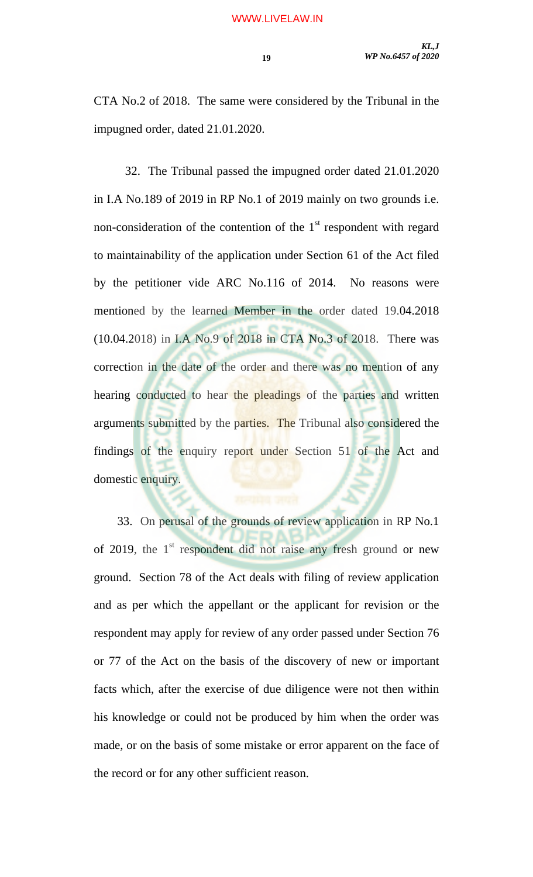CTA No.2 of 2018. The same were considered by the Tribunal in the impugned order, dated 21.01.2020.

 32. The Tribunal passed the impugned order dated 21.01.2020 in I.A No.189 of 2019 in RP No.1 of 2019 mainly on two grounds i.e. non-consideration of the contention of the  $1<sup>st</sup>$  respondent with regard to maintainability of the application under Section 61 of the Act filed by the petitioner vide ARC No.116 of 2014. No reasons were mentioned by the learned Member in the order dated 19.04.2018 (10.04.2018) in I.A No.9 of 2018 in CTA No.3 of 2018. There was correction in the date of the order and there was no mention of any hearing conducted to hear the pleadings of the parties and written arguments submitted by the parties. The Tribunal also considered the findings of the enquiry report under Section 51 of the Act and domestic enquiry.

33. On perusal of the grounds of review application in RP No.1 of 2019, the  $1<sup>st</sup>$  respondent did not raise any fresh ground or new ground. Section 78 of the Act deals with filing of review application and as per which the appellant or the applicant for revision or the respondent may apply for review of any order passed under Section 76 or 77 of the Act on the basis of the discovery of new or important facts which, after the exercise of due diligence were not then within his knowledge or could not be produced by him when the order was made, or on the basis of some mistake or error apparent on the face of the record or for any other sufficient reason.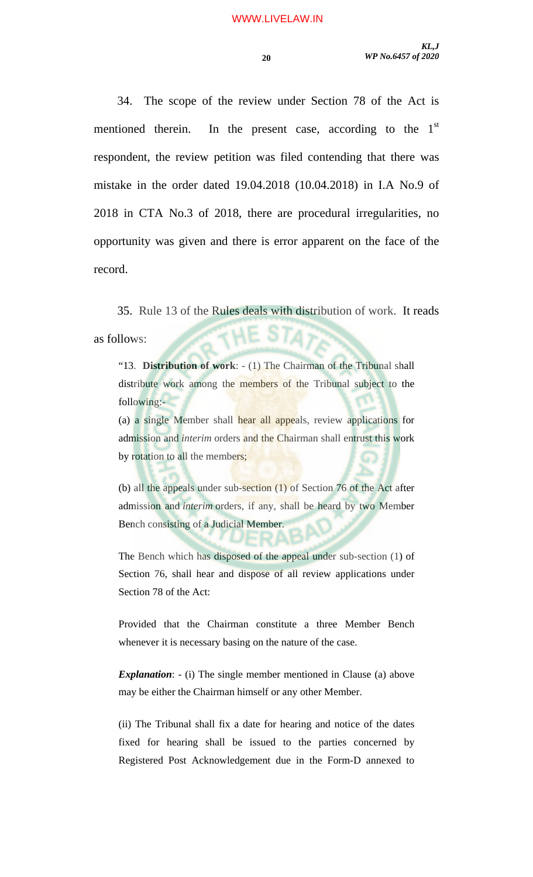34. The scope of the review under Section 78 of the Act is mentioned therein. In the present case, according to the  $1<sup>st</sup>$ respondent, the review petition was filed contending that there was mistake in the order dated 19.04.2018 (10.04.2018) in I.A No.9 of 2018 in CTA No.3 of 2018, there are procedural irregularities, no opportunity was given and there is error apparent on the face of the record.

35. Rule 13 of the Rules deals with distribution of work. It reads HE STA? as follows:

"13. **Distribution of work**: - (1) The Chairman of the Tribunal shall distribute work among the members of the Tribunal subject to the following:-

(a) a single Member shall hear all appeals, review applications for admission and *interim* orders and the Chairman shall entrust this work by rotation to all the members;

(b) all the appeals under sub-section (1) of Section 76 of the Act after admission and *interim* orders, if any, shall be heard by two Member Bench consisting of a Judicial Member.

The Bench which has disposed of the appeal under sub-section (1) of Section 76, shall hear and dispose of all review applications under Section 78 of the Act:

Provided that the Chairman constitute a three Member Bench whenever it is necessary basing on the nature of the case.

*Explanation*: - (i) The single member mentioned in Clause (a) above may be either the Chairman himself or any other Member.

(ii) The Tribunal shall fix a date for hearing and notice of the dates fixed for hearing shall be issued to the parties concerned by Registered Post Acknowledgement due in the Form-D annexed to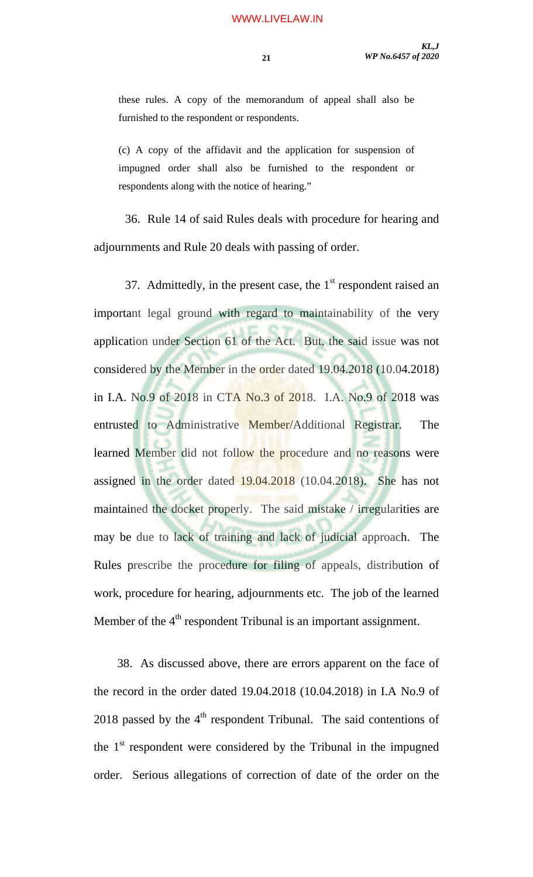these rules. A copy of the memorandum of appeal shall also be furnished to the respondent or respondents.

(c) A copy of the affidavit and the application for suspension of impugned order shall also be furnished to the respondent or respondents along with the notice of hearing."

 36. Rule 14 of said Rules deals with procedure for hearing and adjournments and Rule 20 deals with passing of order.

37. Admittedly, in the present case, the  $1<sup>st</sup>$  respondent raised an important legal ground with regard to maintainability of the very application under Section 61 of the Act. But, the said issue was not considered by the Member in the order dated 19.04.2018 (10.04.2018) in I.A. No.9 of 2018 in CTA No.3 of 2018. I.A. No.9 of 2018 was entrusted to Administrative Member/Additional Registrar. The learned Member did not follow the procedure and no reasons were assigned in the order dated 19.04.2018 (10.04.2018). She has not maintained the docket properly. The said mistake / irregularities are may be due to lack of training and lack of judicial approach. The Rules prescribe the procedure for filing of appeals, distribution of work, procedure for hearing, adjournments etc. The job of the learned Member of the 4<sup>th</sup> respondent Tribunal is an important assignment.

38. As discussed above, there are errors apparent on the face of the record in the order dated 19.04.2018 (10.04.2018) in I.A No.9 of 2018 passed by the  $4<sup>th</sup>$  respondent Tribunal. The said contentions of the  $1<sup>st</sup>$  respondent were considered by the Tribunal in the impugned order. Serious allegations of correction of date of the order on the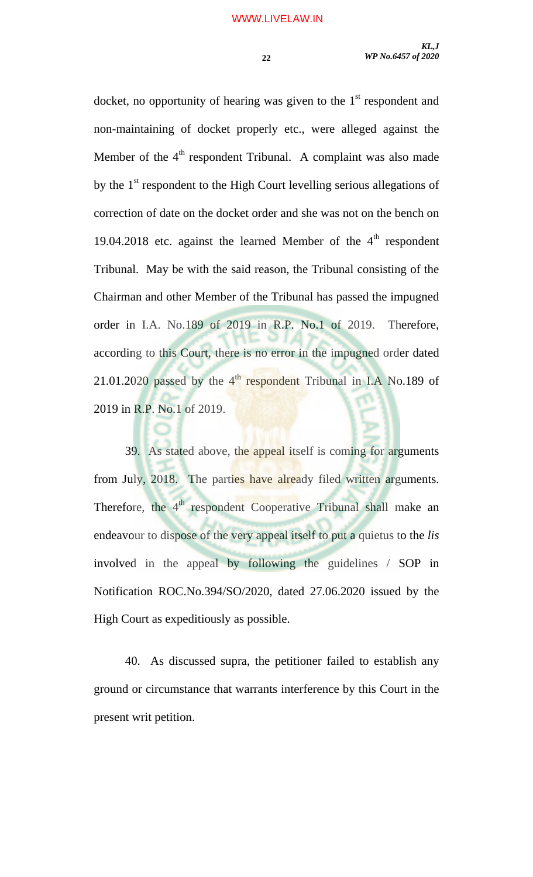docket, no opportunity of hearing was given to the  $1<sup>st</sup>$  respondent and non-maintaining of docket properly etc., were alleged against the Member of the  $4<sup>th</sup>$  respondent Tribunal. A complaint was also made by the  $1<sup>st</sup>$  respondent to the High Court levelling serious allegations of correction of date on the docket order and she was not on the bench on 19.04.2018 etc. against the learned Member of the  $4<sup>th</sup>$  respondent Tribunal. May be with the said reason, the Tribunal consisting of the Chairman and other Member of the Tribunal has passed the impugned order in I.A. No.189 of 2019 in R.P. No.1 of 2019. Therefore, according to this Court, there is no error in the impugned order dated 21.01.2020 passed by the  $4<sup>th</sup>$  respondent Tribunal in I.A No.189 of 2019 in R.P. No.1 of 2019.

39. As stated above, the appeal itself is coming for arguments from July, 2018. The parties have already filed written arguments. Therefore, the 4<sup>th</sup> respondent Cooperative Tribunal shall make an endeavour to dispose of the very appeal itself to put a quietus to the *lis* involved in the appeal by following the guidelines / SOP in Notification ROC.No.394/SO/2020, dated 27.06.2020 issued by the High Court as expeditiously as possible.

40. As discussed supra, the petitioner failed to establish any ground or circumstance that warrants interference by this Court in the present writ petition.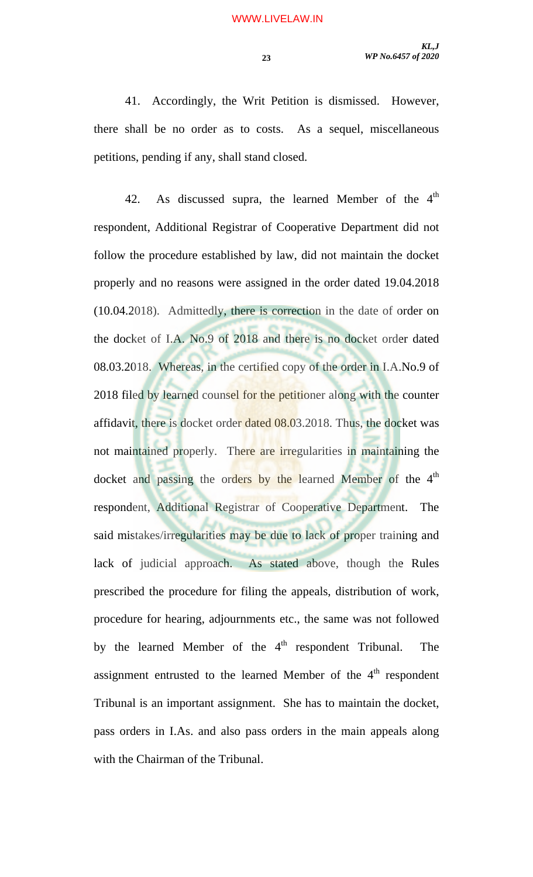41. Accordingly, the Writ Petition is dismissed. However, there shall be no order as to costs. As a sequel, miscellaneous petitions, pending if any, shall stand closed.

42. As discussed supra, the learned Member of the  $4<sup>th</sup>$ respondent, Additional Registrar of Cooperative Department did not follow the procedure established by law, did not maintain the docket properly and no reasons were assigned in the order dated 19.04.2018 (10.04.2018). Admittedly, there is correction in the date of order on the docket of I.A. No.9 of 2018 and there is no docket order dated 08.03.2018. Whereas, in the certified copy of the order in I.A.No.9 of 2018 filed by learned counsel for the petitioner along with the counter affidavit, there is docket order dated 08.03.2018. Thus, the docket was not maintained properly. There are irregularities in maintaining the docket and passing the orders by the learned Member of the 4<sup>th</sup> respondent, Additional Registrar of Cooperative Department. The said mistakes/irregularities may be due to lack of proper training and lack of judicial approach. As stated above, though the Rules prescribed the procedure for filing the appeals, distribution of work, procedure for hearing, adjournments etc., the same was not followed by the learned Member of the  $4<sup>th</sup>$  respondent Tribunal. The assignment entrusted to the learned Member of the  $4<sup>th</sup>$  respondent Tribunal is an important assignment. She has to maintain the docket, pass orders in I.As. and also pass orders in the main appeals along with the Chairman of the Tribunal.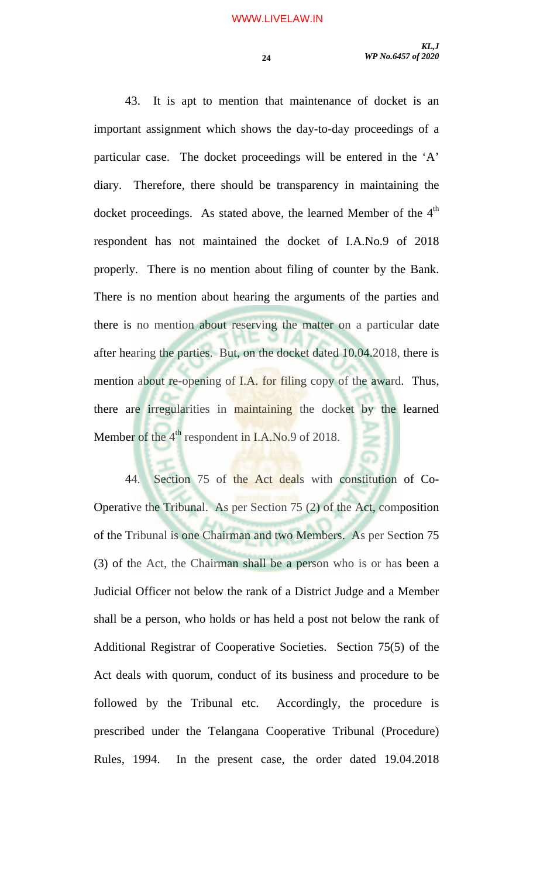43. It is apt to mention that maintenance of docket is an important assignment which shows the day-to-day proceedings of a particular case. The docket proceedings will be entered in the 'A' diary. Therefore, there should be transparency in maintaining the docket proceedings. As stated above, the learned Member of the  $4<sup>th</sup>$ respondent has not maintained the docket of I.A.No.9 of 2018 properly. There is no mention about filing of counter by the Bank. There is no mention about hearing the arguments of the parties and there is no mention about reserving the matter on a particular date after hearing the parties. But, on the docket dated 10.04.2018, there is mention about re-opening of I.A. for filing copy of the award. Thus, there are irregularities in maintaining the docket by the learned Member of the  $4<sup>th</sup>$  respondent in I.A.No.9 of 2018.

44. Section 75 of the Act deals with constitution of Co-Operative the Tribunal. As per Section 75 (2) of the Act, composition of the Tribunal is one Chairman and two Members. As per Section 75 (3) of the Act, the Chairman shall be a person who is or has been a Judicial Officer not below the rank of a District Judge and a Member shall be a person, who holds or has held a post not below the rank of Additional Registrar of Cooperative Societies. Section 75(5) of the Act deals with quorum, conduct of its business and procedure to be followed by the Tribunal etc. Accordingly, the procedure is prescribed under the Telangana Cooperative Tribunal (Procedure) Rules, 1994. In the present case, the order dated 19.04.2018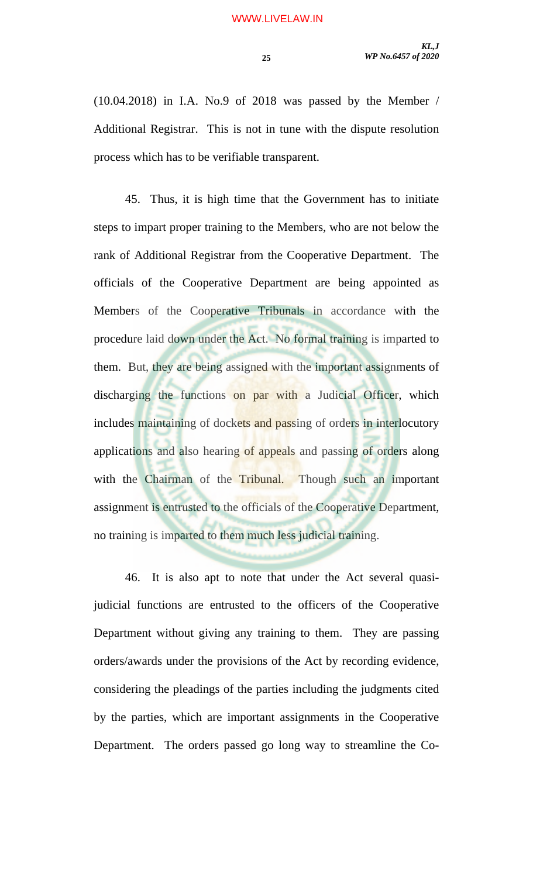(10.04.2018) in I.A. No.9 of 2018 was passed by the Member / Additional Registrar. This is not in tune with the dispute resolution process which has to be verifiable transparent.

 45. Thus, it is high time that the Government has to initiate steps to impart proper training to the Members, who are not below the rank of Additional Registrar from the Cooperative Department. The officials of the Cooperative Department are being appointed as Members of the Cooperative Tribunals in accordance with the procedure laid down under the Act. No formal training is imparted to them. But, they are being assigned with the important assignments of discharging the functions on par with a Judicial Officer, which includes maintaining of dockets and passing of orders in interlocutory applications and also hearing of appeals and passing of orders along with the Chairman of the Tribunal. Though such an important assignment is entrusted to the officials of the Cooperative Department, no training is imparted to them much less judicial training.

 46. It is also apt to note that under the Act several quasijudicial functions are entrusted to the officers of the Cooperative Department without giving any training to them. They are passing orders/awards under the provisions of the Act by recording evidence, considering the pleadings of the parties including the judgments cited by the parties, which are important assignments in the Cooperative Department. The orders passed go long way to streamline the Co-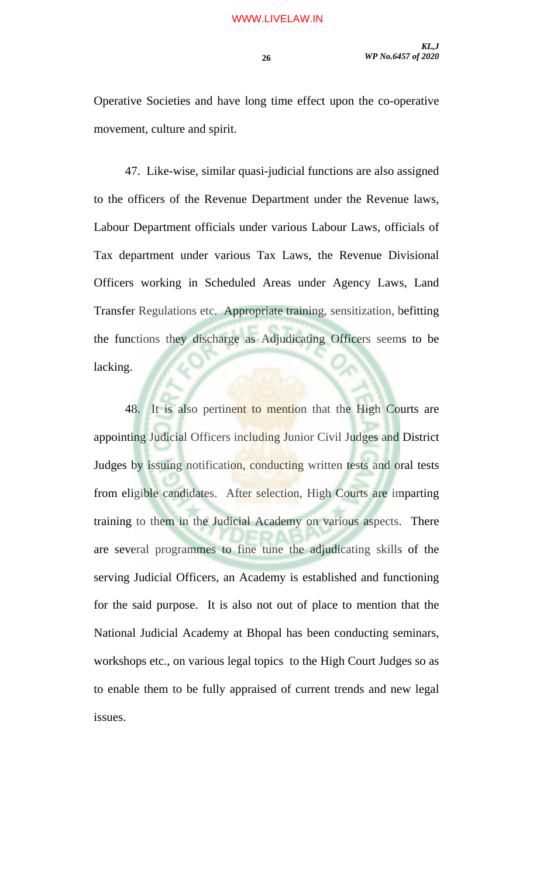Operative Societies and have long time effect upon the co-operative movement, culture and spirit.

 47. Like-wise, similar quasi-judicial functions are also assigned to the officers of the Revenue Department under the Revenue laws, Labour Department officials under various Labour Laws, officials of Tax department under various Tax Laws, the Revenue Divisional Officers working in Scheduled Areas under Agency Laws, Land Transfer Regulations etc. Appropriate training, sensitization, befitting the functions they discharge as Adjudicating Officers seems to be lacking.

48. It is also pertinent to mention that the High Courts are appointing Judicial Officers including Junior Civil Judges and District Judges by issuing notification, conducting written tests and oral tests from eligible candidates. After selection, High Courts are imparting training to them in the Judicial Academy on various aspects. There are several programmes to fine tune the adjudicating skills of the serving Judicial Officers, an Academy is established and functioning for the said purpose. It is also not out of place to mention that the National Judicial Academy at Bhopal has been conducting seminars, workshops etc., on various legal topics to the High Court Judges so as to enable them to be fully appraised of current trends and new legal issues.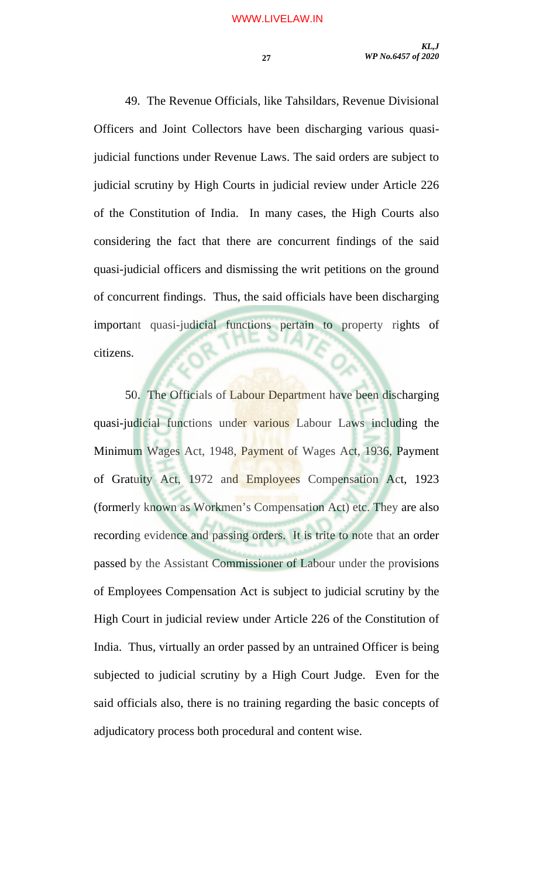49. The Revenue Officials, like Tahsildars, Revenue Divisional Officers and Joint Collectors have been discharging various quasijudicial functions under Revenue Laws. The said orders are subject to judicial scrutiny by High Courts in judicial review under Article 226 of the Constitution of India. In many cases, the High Courts also considering the fact that there are concurrent findings of the said quasi-judicial officers and dismissing the writ petitions on the ground of concurrent findings. Thus, the said officials have been discharging important quasi-judicial functions pertain to property rights of citizens.

50. The Officials of Labour Department have been discharging quasi-judicial functions under various Labour Laws including the Minimum Wages Act, 1948, Payment of Wages Act, 1936, Payment of Gratuity Act, 1972 and Employees Compensation Act, 1923 (formerly known as Workmen's Compensation Act) etc. They are also recording evidence and passing orders. It is trite to note that an order passed by the Assistant Commissioner of Labour under the provisions of Employees Compensation Act is subject to judicial scrutiny by the High Court in judicial review under Article 226 of the Constitution of India. Thus, virtually an order passed by an untrained Officer is being subjected to judicial scrutiny by a High Court Judge. Even for the said officials also, there is no training regarding the basic concepts of adjudicatory process both procedural and content wise.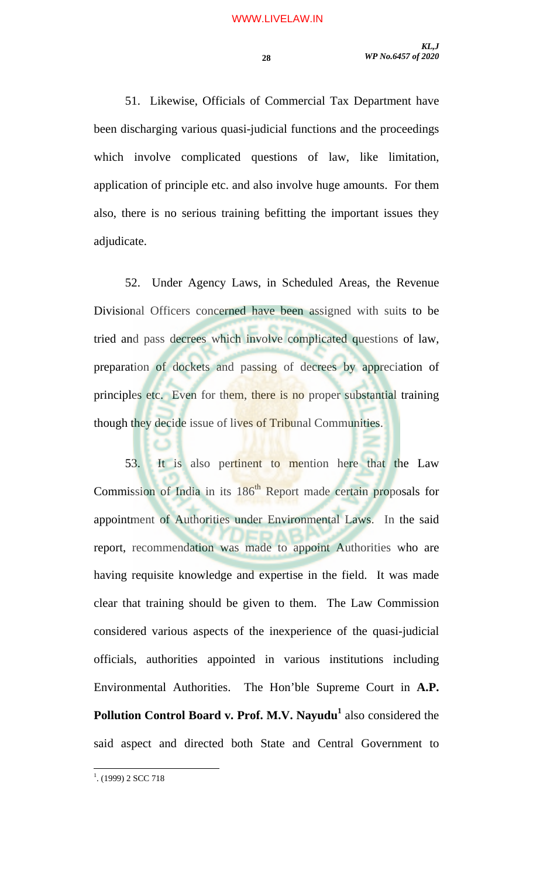51. Likewise, Officials of Commercial Tax Department have been discharging various quasi-judicial functions and the proceedings which involve complicated questions of law, like limitation, application of principle etc. and also involve huge amounts. For them also, there is no serious training befitting the important issues they adjudicate.

52. Under Agency Laws, in Scheduled Areas, the Revenue Divisional Officers concerned have been assigned with suits to be tried and pass decrees which involve complicated questions of law, preparation of dockets and passing of decrees by appreciation of principles etc. Even for them, there is no proper substantial training though they decide issue of lives of Tribunal Communities.

53. It is also pertinent to mention here that the Law Commission of India in its 186<sup>th</sup> Report made certain proposals for appointment of Authorities under Environmental Laws. In the said report, recommendation was made to appoint Authorities who are having requisite knowledge and expertise in the field. It was made clear that training should be given to them. The Law Commission considered various aspects of the inexperience of the quasi-judicial officials, authorities appointed in various institutions including Environmental Authorities. The Hon'ble Supreme Court in **A.P. Pollution Control Board v. Prof. M.V. Nayudu<sup>1</sup>** also considered the said aspect and directed both State and Central Government to

<sup>&</sup>lt;sup>1</sup>. (1999) 2 SCC 718